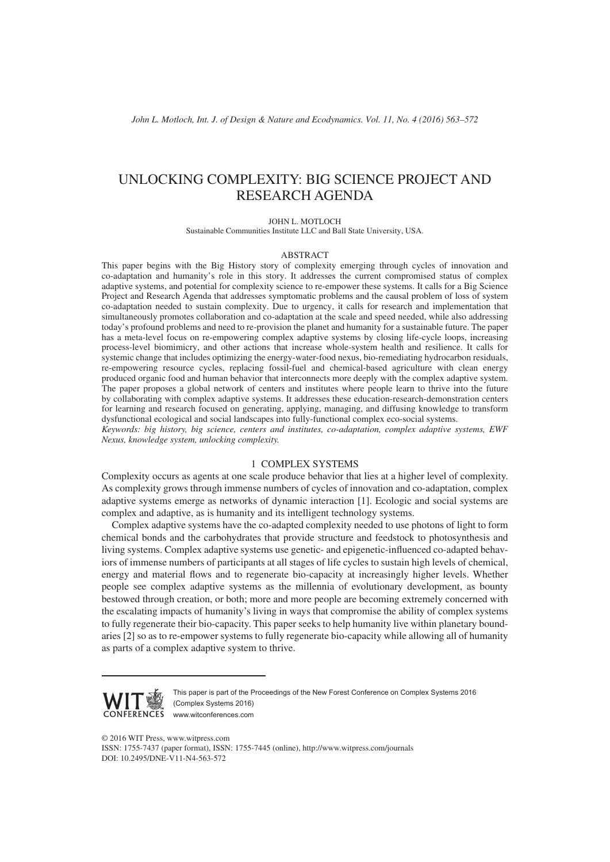# UNLOCKING COMPLEXITY: BIG SCIENCE PROJECT AND RESEARCH AGENDA

JOHN L. MOTLOCH

Sustainable Communities Institute LLC and Ball State University, USA.

#### ABSTRACT

This paper begins with the Big History story of complexity emerging through cycles of innovation and co-adaptation and humanity's role in this story. It addresses the current compromised status of complex adaptive systems, and potential for complexity science to re-empower these systems. It calls for a Big Science Project and Research Agenda that addresses symptomatic problems and the causal problem of loss of system co-adaptation needed to sustain complexity. Due to urgency, it calls for research and implementation that simultaneously promotes collaboration and co-adaptation at the scale and speed needed, while also addressing today's profound problems and need to re-provision the planet and humanity for a sustainable future. The paper has a meta-level focus on re-empowering complex adaptive systems by closing life-cycle loops, increasing process-level biomimicry, and other actions that increase whole-system health and resilience. It calls for systemic change that includes optimizing the energy-water-food nexus, bio-remediating hydrocarbon residuals, re-empowering resource cycles, replacing fossil-fuel and chemical-based agriculture with clean energy produced organic food and human behavior that interconnects more deeply with the complex adaptive system. The paper proposes a global network of centers and institutes where people learn to thrive into the future by collaborating with complex adaptive systems. It addresses these education-research-demonstration centers for learning and research focused on generating, applying, managing, and diffusing knowledge to transform dysfunctional ecological and social landscapes into fully-functional complex eco-social systems. *Keywords: big history, big science, centers and institutes, co-adaptation, complex adaptive systems, EWF* 

*Nexus, knowledge system, unlocking complexity.*

# 1 COMPLEX SYSTEMS

Complexity occurs as agents at one scale produce behavior that lies at a higher level of complexity. As complexity grows through immense numbers of cycles of innovation and co-adaptation, complex adaptive systems emerge as networks of dynamic interaction [1]. Ecologic and social systems are complex and adaptive, as is humanity and its intelligent technology systems.

Complex adaptive systems have the co-adapted complexity needed to use photons of light to form chemical bonds and the carbohydrates that provide structure and feedstock to photosynthesis and living systems. Complex adaptive systems use genetic- and epigenetic-influenced co-adapted behaviors of immense numbers of participants at all stages of life cycles to sustain high levels of chemical, energy and material flows and to regenerate bio-capacity at increasingly higher levels. Whether people see complex adaptive systems as the millennia of evolutionary development, as bounty bestowed through creation, or both; more and more people are becoming extremely concerned with the escalating impacts of humanity's living in ways that compromise the ability of complex systems to fully regenerate their bio-capacity. This paper seeks to help humanity live within planetary boundaries [2] so as to re-empower systems to fully regenerate bio-capacity while allowing all of humanity as parts of a complex adaptive system to thrive.



This paper is part of the Proceedings of the New Forest Conference on Complex Systems 2016 (Complex Systems 2016) www.witconferences.com

© 2016 WIT Press, www.witpress.com

ISSN: 1755-7437 (paper format), ISSN: 1755-7445 (online), http://www.witpress.com/journals DOI: 10.2495/DNE-V11-N4-563-572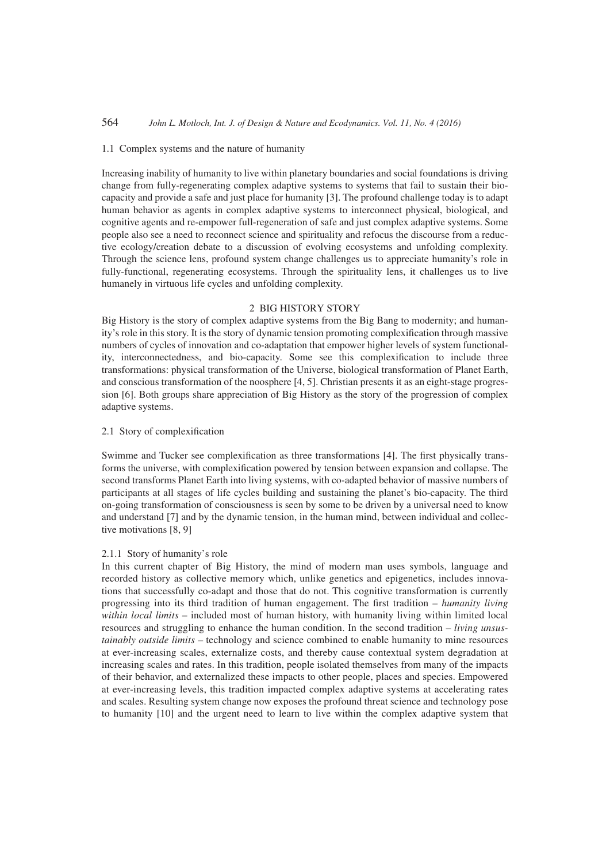#### 1.1 Complex systems and the nature of humanity

Increasing inability of humanity to live within planetary boundaries and social foundations is driving change from fully-regenerating complex adaptive systems to systems that fail to sustain their biocapacity and provide a safe and just place for humanity [3]. The profound challenge today is to adapt human behavior as agents in complex adaptive systems to interconnect physical, biological, and cognitive agents and re-empower full-regeneration of safe and just complex adaptive systems. Some people also see a need to reconnect science and spirituality and refocus the discourse from a reductive ecology/creation debate to a discussion of evolving ecosystems and unfolding complexity. Through the science lens, profound system change challenges us to appreciate humanity's role in fully-functional, regenerating ecosystems. Through the spirituality lens, it challenges us to live humanely in virtuous life cycles and unfolding complexity.

## 2 BIG HISTORY STORY

Big History is the story of complex adaptive systems from the Big Bang to modernity; and humanity's role in this story. It is the story of dynamic tension promoting complexification through massive numbers of cycles of innovation and co-adaptation that empower higher levels of system functionality, interconnectedness, and bio-capacity. Some see this complexification to include three transformations: physical transformation of the Universe, biological transformation of Planet Earth, and conscious transformation of the noosphere [4, 5]. Christian presents it as an eight-stage progression [6]. Both groups share appreciation of Big History as the story of the progression of complex adaptive systems.

# 2.1 Story of complexification

Swimme and Tucker see complexification as three transformations [4]. The first physically transforms the universe, with complexification powered by tension between expansion and collapse. The second transforms Planet Earth into living systems, with co-adapted behavior of massive numbers of participants at all stages of life cycles building and sustaining the planet's bio-capacity. The third on-going transformation of consciousness is seen by some to be driven by a universal need to know and understand [7] and by the dynamic tension, in the human mind, between individual and collective motivations [8, 9]

#### 2.1.1 Story of humanity's role

In this current chapter of Big History, the mind of modern man uses symbols, language and recorded history as collective memory which, unlike genetics and epigenetics, includes innovations that successfully co-adapt and those that do not. This cognitive transformation is currently progressing into its third tradition of human engagement. The first tradition *– humanity living within local limits* – included most of human history, with humanity living within limited local resources and struggling to enhance the human condition. In the second tradition *– living unsustainably outside limits –* technology and science combined to enable humanity to mine resources at ever-increasing scales, externalize costs, and thereby cause contextual system degradation at increasing scales and rates. In this tradition, people isolated themselves from many of the impacts of their behavior, and externalized these impacts to other people, places and species. Empowered at ever-increasing levels, this tradition impacted complex adaptive systems at accelerating rates and scales. Resulting system change now exposes the profound threat science and technology pose to humanity [10] and the urgent need to learn to live within the complex adaptive system that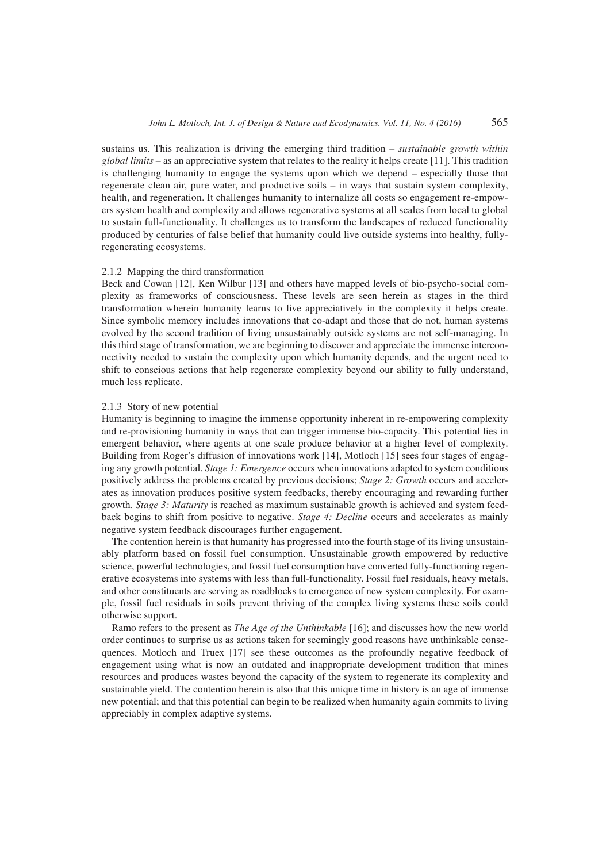sustains us. This realization is driving the emerging third tradition *– sustainable growth within global limits –* as an appreciative system that relates to the reality it helps create [11]. This tradition is challenging humanity to engage the systems upon which we depend – especially those that regenerate clean air, pure water, and productive soils – in ways that sustain system complexity, health, and regeneration. It challenges humanity to internalize all costs so engagement re-empowers system health and complexity and allows regenerative systems at all scales from local to global to sustain full-functionality. It challenges us to transform the landscapes of reduced functionality produced by centuries of false belief that humanity could live outside systems into healthy, fullyregenerating ecosystems.

## 2.1.2 Mapping the third transformation

Beck and Cowan [12], Ken Wilbur [13] and others have mapped levels of bio-psycho-social complexity as frameworks of consciousness. These levels are seen herein as stages in the third transformation wherein humanity learns to live appreciatively in the complexity it helps create. Since symbolic memory includes innovations that co-adapt and those that do not, human systems evolved by the second tradition of living unsustainably outside systems are not self-managing. In this third stage of transformation, we are beginning to discover and appreciate the immense interconnectivity needed to sustain the complexity upon which humanity depends, and the urgent need to shift to conscious actions that help regenerate complexity beyond our ability to fully understand, much less replicate.

#### 2.1.3 Story of new potential

Humanity is beginning to imagine the immense opportunity inherent in re-empowering complexity and re-provisioning humanity in ways that can trigger immense bio-capacity. This potential lies in emergent behavior, where agents at one scale produce behavior at a higher level of complexity. Building from Roger's diffusion of innovations work [14], Motloch [15] sees four stages of engaging any growth potential. *Stage 1: Emergence* occurs when innovations adapted to system conditions positively address the problems created by previous decisions; *Stage 2: Growth* occurs and accelerates as innovation produces positive system feedbacks, thereby encouraging and rewarding further growth. *Stage 3: Maturity* is reached as maximum sustainable growth is achieved and system feedback begins to shift from positive to negative. *Stage 4: Decline* occurs and accelerates as mainly negative system feedback discourages further engagement.

The contention herein is that humanity has progressed into the fourth stage of its living unsustainably platform based on fossil fuel consumption. Unsustainable growth empowered by reductive science, powerful technologies, and fossil fuel consumption have converted fully-functioning regenerative ecosystems into systems with less than full-functionality. Fossil fuel residuals, heavy metals, and other constituents are serving as roadblocks to emergence of new system complexity. For example, fossil fuel residuals in soils prevent thriving of the complex living systems these soils could otherwise support.

Ramo refers to the present as *The Age of the Unthinkable* [16]; and discusses how the new world order continues to surprise us as actions taken for seemingly good reasons have unthinkable consequences. Motloch and Truex [17] see these outcomes as the profoundly negative feedback of engagement using what is now an outdated and inappropriate development tradition that mines resources and produces wastes beyond the capacity of the system to regenerate its complexity and sustainable yield. The contention herein is also that this unique time in history is an age of immense new potential; and that this potential can begin to be realized when humanity again commits to living appreciably in complex adaptive systems.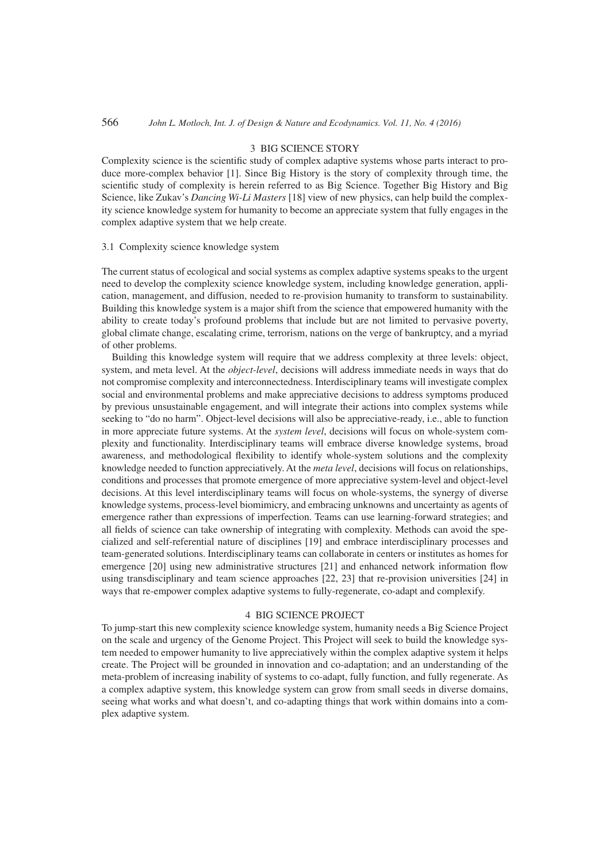#### 3 BIG SCIENCE STORY

Complexity science is the scientific study of complex adaptive systems whose parts interact to produce more-complex behavior [1]. Since Big History is the story of complexity through time, the scientific study of complexity is herein referred to as Big Science. Together Big History and Big Science, like Zukav's *Dancing Wi-Li Masters* [18] view of new physics, can help build the complexity science knowledge system for humanity to become an appreciate system that fully engages in the complex adaptive system that we help create.

#### 3.1 Complexity science knowledge system

The current status of ecological and social systems as complex adaptive systems speaks to the urgent need to develop the complexity science knowledge system, including knowledge generation, application, management, and diffusion, needed to re-provision humanity to transform to sustainability. Building this knowledge system is a major shift from the science that empowered humanity with the ability to create today's profound problems that include but are not limited to pervasive poverty, global climate change, escalating crime, terrorism, nations on the verge of bankruptcy, and a myriad of other problems.

Building this knowledge system will require that we address complexity at three levels: object, system, and meta level. At the *object-level*, decisions will address immediate needs in ways that do not compromise complexity and interconnectedness. Interdisciplinary teams will investigate complex social and environmental problems and make appreciative decisions to address symptoms produced by previous unsustainable engagement, and will integrate their actions into complex systems while seeking to "do no harm". Object-level decisions will also be appreciative-ready, i.e., able to function in more appreciate future systems. At the *system level*, decisions will focus on whole-system complexity and functionality. Interdisciplinary teams will embrace diverse knowledge systems, broad awareness, and methodological flexibility to identify whole-system solutions and the complexity knowledge needed to function appreciatively. At the *meta level*, decisions will focus on relationships, conditions and processes that promote emergence of more appreciative system-level and object-level decisions. At this level interdisciplinary teams will focus on whole-systems, the synergy of diverse knowledge systems, process-level biomimicry, and embracing unknowns and uncertainty as agents of emergence rather than expressions of imperfection. Teams can use learning-forward strategies; and all fields of science can take ownership of integrating with complexity. Methods can avoid the specialized and self-referential nature of disciplines [19] and embrace interdisciplinary processes and team-generated solutions. Interdisciplinary teams can collaborate in centers or institutes as homes for emergence [20] using new administrative structures [21] and enhanced network information flow using transdisciplinary and team science approaches [22, 23] that re-provision universities [24] in ways that re-empower complex adaptive systems to fully-regenerate, co-adapt and complexify.

## 4 BIG SCIENCE PROJECT

To jump-start this new complexity science knowledge system, humanity needs a Big Science Project on the scale and urgency of the Genome Project. This Project will seek to build the knowledge system needed to empower humanity to live appreciatively within the complex adaptive system it helps create. The Project will be grounded in innovation and co-adaptation; and an understanding of the meta-problem of increasing inability of systems to co-adapt, fully function, and fully regenerate. As a complex adaptive system, this knowledge system can grow from small seeds in diverse domains, seeing what works and what doesn't, and co-adapting things that work within domains into a complex adaptive system.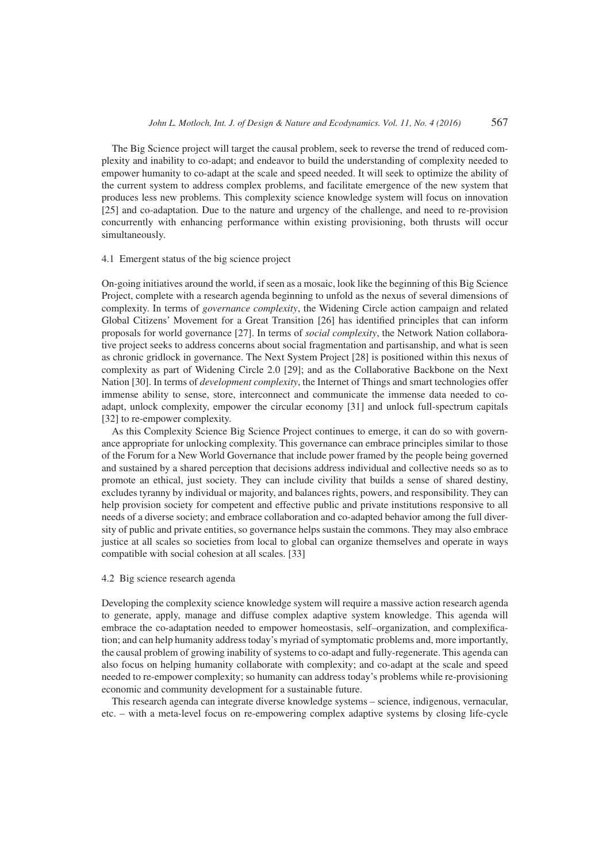The Big Science project will target the causal problem, seek to reverse the trend of reduced complexity and inability to co-adapt; and endeavor to build the understanding of complexity needed to empower humanity to co-adapt at the scale and speed needed. It will seek to optimize the ability of the current system to address complex problems, and facilitate emergence of the new system that produces less new problems. This complexity science knowledge system will focus on innovation [25] and co-adaptation. Due to the nature and urgency of the challenge, and need to re-provision concurrently with enhancing performance within existing provisioning, both thrusts will occur simultaneously.

#### 4.1 Emergent status of the big science project

On-going initiatives around the world, if seen as a mosaic, look like the beginning of this Big Science Project, complete with a research agenda beginning to unfold as the nexus of several dimensions of complexity. In terms of *governance complexity*, the Widening Circle action campaign and related Global Citizens' Movement for a Great Transition [26] has identified principles that can inform proposals for world governance [27]. In terms of *social complexity*, the Network Nation collaborative project seeks to address concerns about social fragmentation and partisanship, and what is seen as chronic gridlock in governance. The Next System Project [28] is positioned within this nexus of complexity as part of Widening Circle 2.0 [29]; and as the Collaborative Backbone on the Next Nation [30]. In terms of *development complexity*, the Internet of Things and smart technologies offer immense ability to sense, store, interconnect and communicate the immense data needed to coadapt, unlock complexity, empower the circular economy [31] and unlock full-spectrum capitals [32] to re-empower complexity.

As this Complexity Science Big Science Project continues to emerge, it can do so with governance appropriate for unlocking complexity. This governance can embrace principles similar to those of the Forum for a New World Governance that include power framed by the people being governed and sustained by a shared perception that decisions address individual and collective needs so as to promote an ethical, just society. They can include civility that builds a sense of shared destiny, excludes tyranny by individual or majority, and balances rights, powers, and responsibility. They can help provision society for competent and effective public and private institutions responsive to all needs of a diverse society; and embrace collaboration and co-adapted behavior among the full diversity of public and private entities, so governance helps sustain the commons. They may also embrace justice at all scales so societies from local to global can organize themselves and operate in ways compatible with social cohesion at all scales. [33]

# 4.2 Big science research agenda

Developing the complexity science knowledge system will require a massive action research agenda to generate, apply, manage and diffuse complex adaptive system knowledge. This agenda will embrace the co-adaptation needed to empower homeostasis, self–organization, and complexification; and can help humanity address today's myriad of symptomatic problems and, more importantly, the causal problem of growing inability of systems to co-adapt and fully-regenerate. This agenda can also focus on helping humanity collaborate with complexity; and co-adapt at the scale and speed needed to re-empower complexity; so humanity can address today's problems while re-provisioning economic and community development for a sustainable future.

This research agenda can integrate diverse knowledge systems – science, indigenous, vernacular, etc. – with a meta-level focus on re-empowering complex adaptive systems by closing life-cycle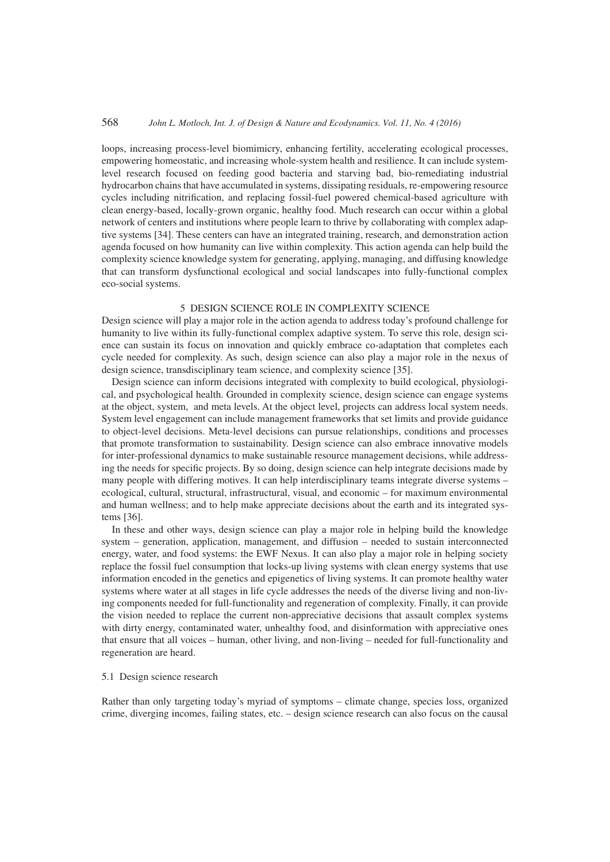loops, increasing process-level biomimicry, enhancing fertility, accelerating ecological processes, empowering homeostatic, and increasing whole-system health and resilience. It can include systemlevel research focused on feeding good bacteria and starving bad, bio-remediating industrial hydrocarbon chains that have accumulated in systems, dissipating residuals, re-empowering resource cycles including nitrification, and replacing fossil-fuel powered chemical-based agriculture with clean energy-based, locally-grown organic, healthy food. Much research can occur within a global network of centers and institutions where people learn to thrive by collaborating with complex adaptive systems [34]. These centers can have an integrated training, research, and demonstration action agenda focused on how humanity can live within complexity. This action agenda can help build the complexity science knowledge system for generating, applying, managing, and diffusing knowledge that can transform dysfunctional ecological and social landscapes into fully-functional complex eco-social systems.

# 5 DESIGN SCIENCE ROLE IN COMPLEXITY SCIENCE

Design science will play a major role in the action agenda to address today's profound challenge for humanity to live within its fully-functional complex adaptive system. To serve this role, design science can sustain its focus on innovation and quickly embrace co-adaptation that completes each cycle needed for complexity. As such, design science can also play a major role in the nexus of design science, transdisciplinary team science, and complexity science [35].

Design science can inform decisions integrated with complexity to build ecological, physiological, and psychological health. Grounded in complexity science, design science can engage systems at the object, system, and meta levels. At the object level, projects can address local system needs. System level engagement can include management frameworks that set limits and provide guidance to object-level decisions. Meta-level decisions can pursue relationships, conditions and processes that promote transformation to sustainability. Design science can also embrace innovative models for inter-professional dynamics to make sustainable resource management decisions, while addressing the needs for specific projects. By so doing, design science can help integrate decisions made by many people with differing motives. It can help interdisciplinary teams integrate diverse systems – ecological, cultural, structural, infrastructural, visual, and economic – for maximum environmental and human wellness; and to help make appreciate decisions about the earth and its integrated systems [36].

In these and other ways, design science can play a major role in helping build the knowledge system – generation, application, management, and diffusion – needed to sustain interconnected energy, water, and food systems: the EWF Nexus. It can also play a major role in helping society replace the fossil fuel consumption that locks-up living systems with clean energy systems that use information encoded in the genetics and epigenetics of living systems. It can promote healthy water systems where water at all stages in life cycle addresses the needs of the diverse living and non-living components needed for full-functionality and regeneration of complexity. Finally, it can provide the vision needed to replace the current non-appreciative decisions that assault complex systems with dirty energy, contaminated water, unhealthy food, and disinformation with appreciative ones that ensure that all voices – human, other living, and non-living – needed for full-functionality and regeneration are heard.

### 5.1 Design science research

Rather than only targeting today's myriad of symptoms – climate change, species loss, organized crime, diverging incomes, failing states, etc. – design science research can also focus on the causal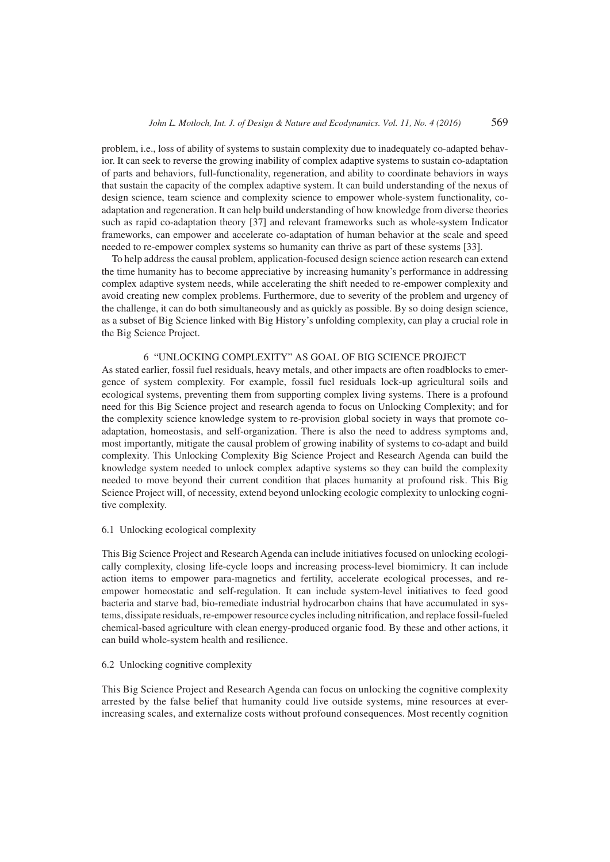problem, i.e., loss of ability of systems to sustain complexity due to inadequately co-adapted behavior. It can seek to reverse the growing inability of complex adaptive systems to sustain co-adaptation of parts and behaviors, full-functionality, regeneration, and ability to coordinate behaviors in ways that sustain the capacity of the complex adaptive system. It can build understanding of the nexus of design science, team science and complexity science to empower whole-system functionality, coadaptation and regeneration. It can help build understanding of how knowledge from diverse theories such as rapid co-adaptation theory [37] and relevant frameworks such as whole-system Indicator frameworks, can empower and accelerate co-adaptation of human behavior at the scale and speed needed to re-empower complex systems so humanity can thrive as part of these systems [33].

To help address the causal problem, application-focused design science action research can extend the time humanity has to become appreciative by increasing humanity's performance in addressing complex adaptive system needs, while accelerating the shift needed to re-empower complexity and avoid creating new complex problems. Furthermore, due to severity of the problem and urgency of the challenge, it can do both simultaneously and as quickly as possible. By so doing design science, as a subset of Big Science linked with Big History's unfolding complexity, can play a crucial role in the Big Science Project.

## 6 "UNLOCKING COMPLEXITY" AS GOAL OF BIG SCIENCE PROJECT

As stated earlier, fossil fuel residuals, heavy metals, and other impacts are often roadblocks to emergence of system complexity. For example, fossil fuel residuals lock-up agricultural soils and ecological systems, preventing them from supporting complex living systems. There is a profound need for this Big Science project and research agenda to focus on Unlocking Complexity; and for the complexity science knowledge system to re-provision global society in ways that promote coadaptation, homeostasis, and self-organization. There is also the need to address symptoms and, most importantly, mitigate the causal problem of growing inability of systems to co-adapt and build complexity. This Unlocking Complexity Big Science Project and Research Agenda can build the knowledge system needed to unlock complex adaptive systems so they can build the complexity needed to move beyond their current condition that places humanity at profound risk. This Big Science Project will, of necessity, extend beyond unlocking ecologic complexity to unlocking cognitive complexity.

#### 6.1 Unlocking ecological complexity

This Big Science Project and Research Agenda can include initiatives focused on unlocking ecologically complexity, closing life-cycle loops and increasing process-level biomimicry. It can include action items to empower para-magnetics and fertility, accelerate ecological processes, and reempower homeostatic and self-regulation. It can include system-level initiatives to feed good bacteria and starve bad, bio-remediate industrial hydrocarbon chains that have accumulated in systems, dissipate residuals, re-empower resource cycles including nitrification, and replace fossil-fueled chemical-based agriculture with clean energy-produced organic food. By these and other actions, it can build whole-system health and resilience.

## 6.2 Unlocking cognitive complexity

This Big Science Project and Research Agenda can focus on unlocking the cognitive complexity arrested by the false belief that humanity could live outside systems, mine resources at everincreasing scales, and externalize costs without profound consequences. Most recently cognition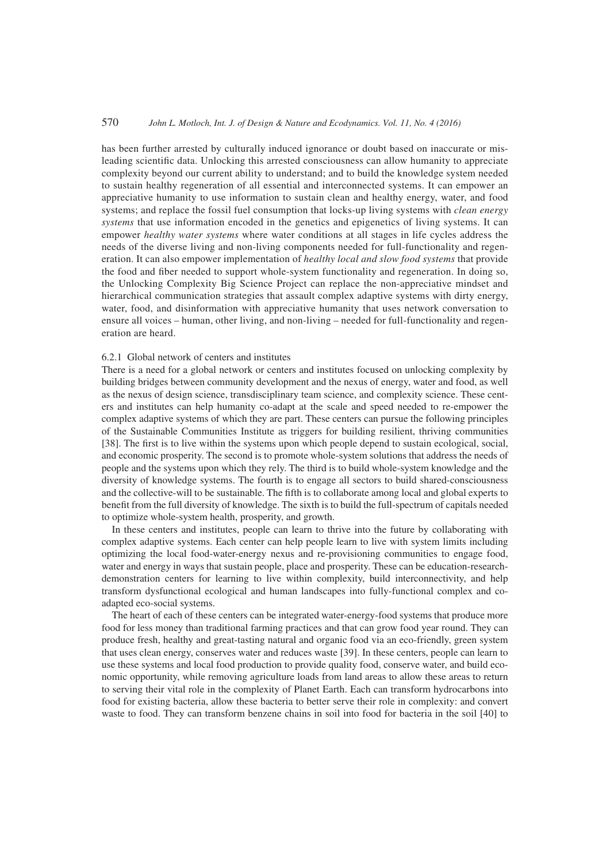has been further arrested by culturally induced ignorance or doubt based on inaccurate or misleading scientific data. Unlocking this arrested consciousness can allow humanity to appreciate complexity beyond our current ability to understand; and to build the knowledge system needed to sustain healthy regeneration of all essential and interconnected systems. It can empower an appreciative humanity to use information to sustain clean and healthy energy, water, and food systems; and replace the fossil fuel consumption that locks-up living systems with *clean energy systems* that use information encoded in the genetics and epigenetics of living systems. It can empower *healthy water systems* where water conditions at all stages in life cycles address the needs of the diverse living and non-living components needed for full-functionality and regeneration. It can also empower implementation of *healthy local and slow food systems* that provide the food and fiber needed to support whole-system functionality and regeneration. In doing so, the Unlocking Complexity Big Science Project can replace the non-appreciative mindset and hierarchical communication strategies that assault complex adaptive systems with dirty energy, water, food, and disinformation with appreciative humanity that uses network conversation to ensure all voices – human, other living, and non-living – needed for full-functionality and regeneration are heard.

# 6.2.1 Global network of centers and institutes

There is a need for a global network or centers and institutes focused on unlocking complexity by building bridges between community development and the nexus of energy, water and food, as well as the nexus of design science, transdisciplinary team science, and complexity science. These centers and institutes can help humanity co-adapt at the scale and speed needed to re-empower the complex adaptive systems of which they are part. These centers can pursue the following principles of the Sustainable Communities Institute as triggers for building resilient, thriving communities [38]. The first is to live within the systems upon which people depend to sustain ecological, social, and economic prosperity. The second is to promote whole-system solutions that address the needs of people and the systems upon which they rely. The third is to build whole-system knowledge and the diversity of knowledge systems. The fourth is to engage all sectors to build shared-consciousness and the collective-will to be sustainable. The fifth is to collaborate among local and global experts to benefit from the full diversity of knowledge. The sixth is to build the full-spectrum of capitals needed to optimize whole-system health, prosperity, and growth.

In these centers and institutes, people can learn to thrive into the future by collaborating with complex adaptive systems. Each center can help people learn to live with system limits including optimizing the local food-water-energy nexus and re-provisioning communities to engage food, water and energy in ways that sustain people, place and prosperity. These can be education-researchdemonstration centers for learning to live within complexity, build interconnectivity, and help transform dysfunctional ecological and human landscapes into fully-functional complex and coadapted eco-social systems.

The heart of each of these centers can be integrated water-energy-food systems that produce more food for less money than traditional farming practices and that can grow food year round. They can produce fresh, healthy and great-tasting natural and organic food via an eco-friendly, green system that uses clean energy, conserves water and reduces waste [39]. In these centers, people can learn to use these systems and local food production to provide quality food, conserve water, and build economic opportunity, while removing agriculture loads from land areas to allow these areas to return to serving their vital role in the complexity of Planet Earth. Each can transform hydrocarbons into food for existing bacteria, allow these bacteria to better serve their role in complexity: and convert waste to food. They can transform benzene chains in soil into food for bacteria in the soil [40] to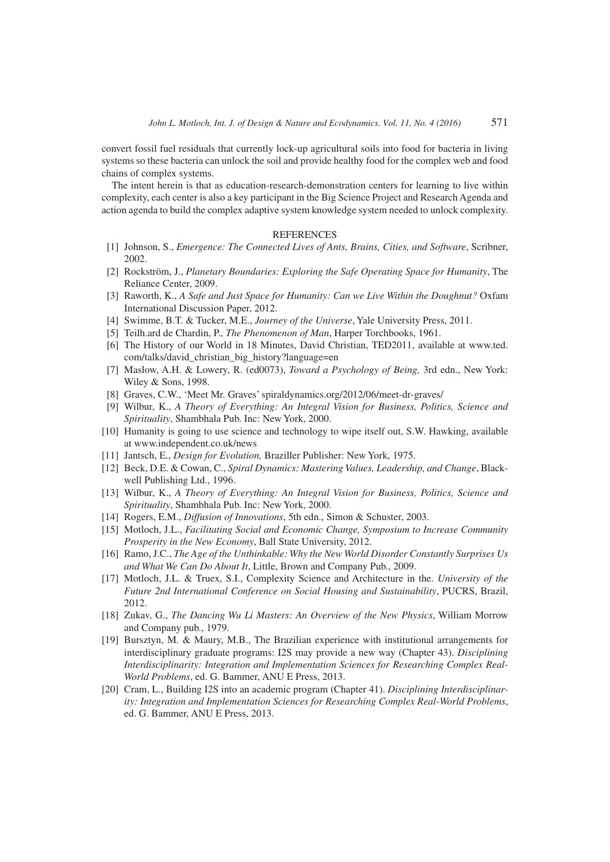convert fossil fuel residuals that currently lock-up agricultural soils into food for bacteria in living systems so these bacteria can unlock the soil and provide healthy food for the complex web and food chains of complex systems.

The intent herein is that as education-research-demonstration centers for learning to live within complexity, each center is also a key participant in the Big Science Project and Research Agenda and action agenda to build the complex adaptive system knowledge system needed to unlock complexity.

#### REFERENCES

- [1] Johnson, S., *Emergence: The Connected Lives of Ants, Brains, Cities, and Software*, Scribner, 2002.
- [2] Rockström, J., *Planetary Boundaries: Exploring the Safe Operating Space for Humanity*, The Reliance Center, 2009.
- [3] Raworth, K., *A Safe and Just Space for Humanity: Can we Live Within the Doughnut?* Oxfam International Discussion Paper, 2012.
- [4] Swimme, B.T. & Tucker, M.E., *Journey of the Universe*, Yale University Press, 2011.
- [5] Teilh.ard de Chardin, P., *The Phenomenon of Man*, Harper Torchbooks, 1961.
- [6] The History of our World in 18 Minutes, David Christian, TED2011, available at www.ted. com/talks/david\_christian\_big\_history?language=en
- [7] Maslow, A.H. & Lowery, R. (ed0073), *Toward a Psychology of Being,* 3rd edn., New York: Wiley & Sons, 1998.
- [8] Graves, C.W., 'Meet Mr. Graves' spiraldynamics.org/2012/06/meet-dr-graves/
- [9] Wilbur, K., *A Theory of Everything: An Integral Vision for Business, Politics, Science and Spirituality*, Shambhala Pub. Inc: New York, 2000.
- [10] Humanity is going to use science and technology to wipe itself out, S.W. Hawking, available at www.independent.co.uk/news
- [11] Jantsch, E., *Design for Evolution,* Braziller Publisher: New York, 1975.
- [12] Beck, D.E. & Cowan, C., *Spiral Dynamics: Mastering Values, Leadership, and Change*, Blackwell Publishing Ltd., 1996.
- [13] Wilbur, K., *A Theory of Everything: An Integral Vision for Business, Politics, Science and Spirituality*, Shambhala Pub. Inc: New York, 2000.
- [14] Rogers, E.M., *Diffusion of Innovations*, 5th edn., Simon & Schuster, 2003.
- [15] Motloch, J.L., *Facilitating Social and Economic Change, Symposium to Increase Community Prosperity in the New Economy*, Ball State University, 2012.
- [16] Ramo, J.C., *The Age of the Unthinkable: Why the New World Disorder Constantly Surprises Us and What We Can Do About It*, Little, Brown and Company Pub., 2009.
- [17] Motloch, J.L. & Truex, S.I., Complexity Science and Architecture in the. *University of the Future 2nd International Conference on Social Housing and Sustainability*, PUCRS, Brazil, 2012.
- [18] Zukav, G., *The Dancing Wu Li Masters: An Overview of the New Physics*, William Morrow and Company pub., 1979.
- [19] Bursztyn, M. & Maury, M.B., The Brazilian experience with institutional arrangements for interdisciplinary graduate programs: I2S may provide a new way (Chapter 43). *Disciplining Interdisciplinarity: Integration and Implementation Sciences for Researching Complex Real-World Problems*, ed. G. Bammer, ANU E Press, 2013.
- [20] Cram, L., Building I2S into an academic program (Chapter 41). *Disciplining Interdisciplinarity: Integration and Implementation Sciences for Researching Complex Real-World Problems*, ed. G. Bammer, ANU E Press, 2013.